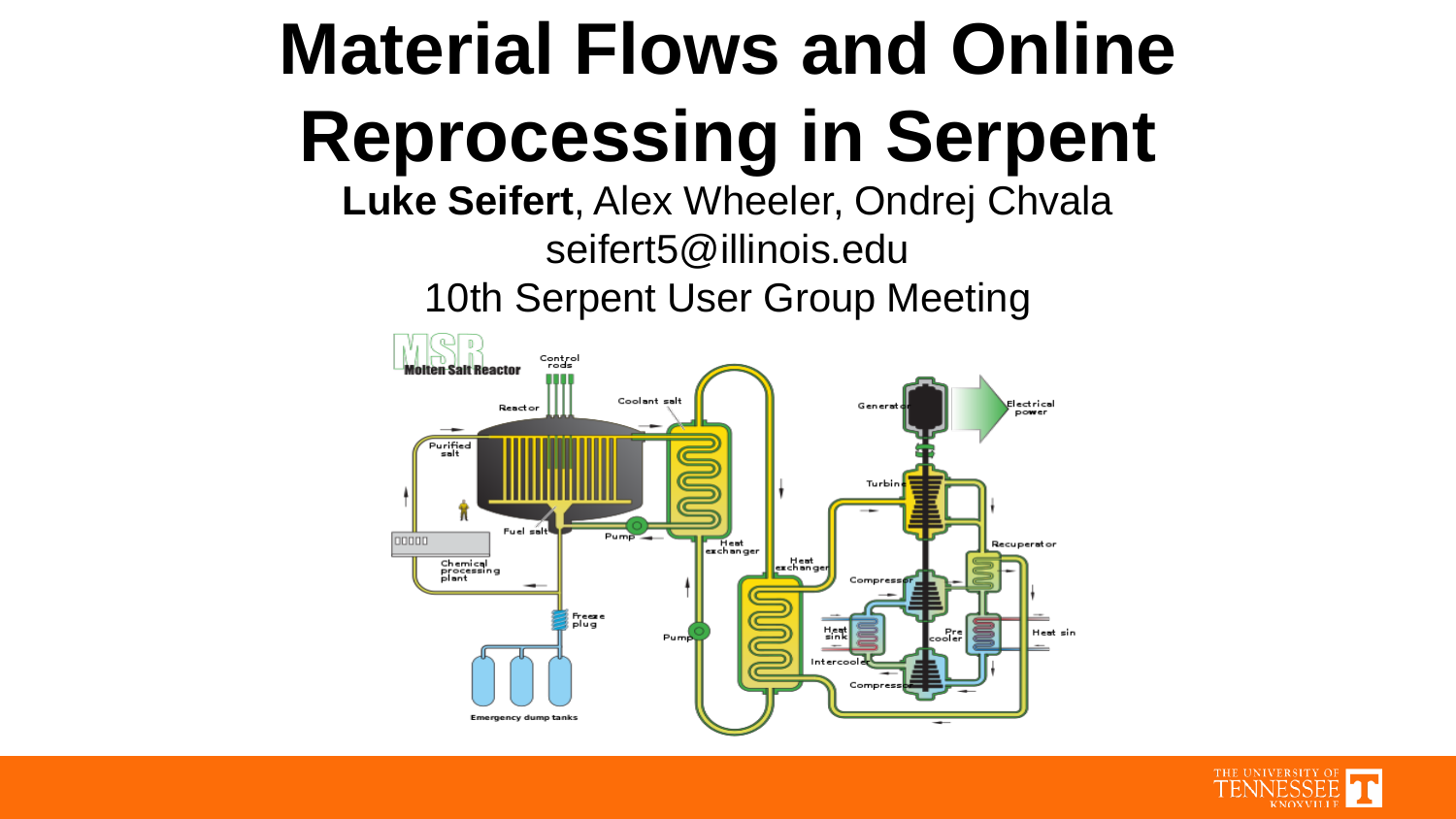#### **Material Flows and Online Reprocessing in Serpent**

**Luke Seifert**, Alex Wheeler, Ondrej Chvala seifert5@illinois.edu 10th Serpent User Group Meeting



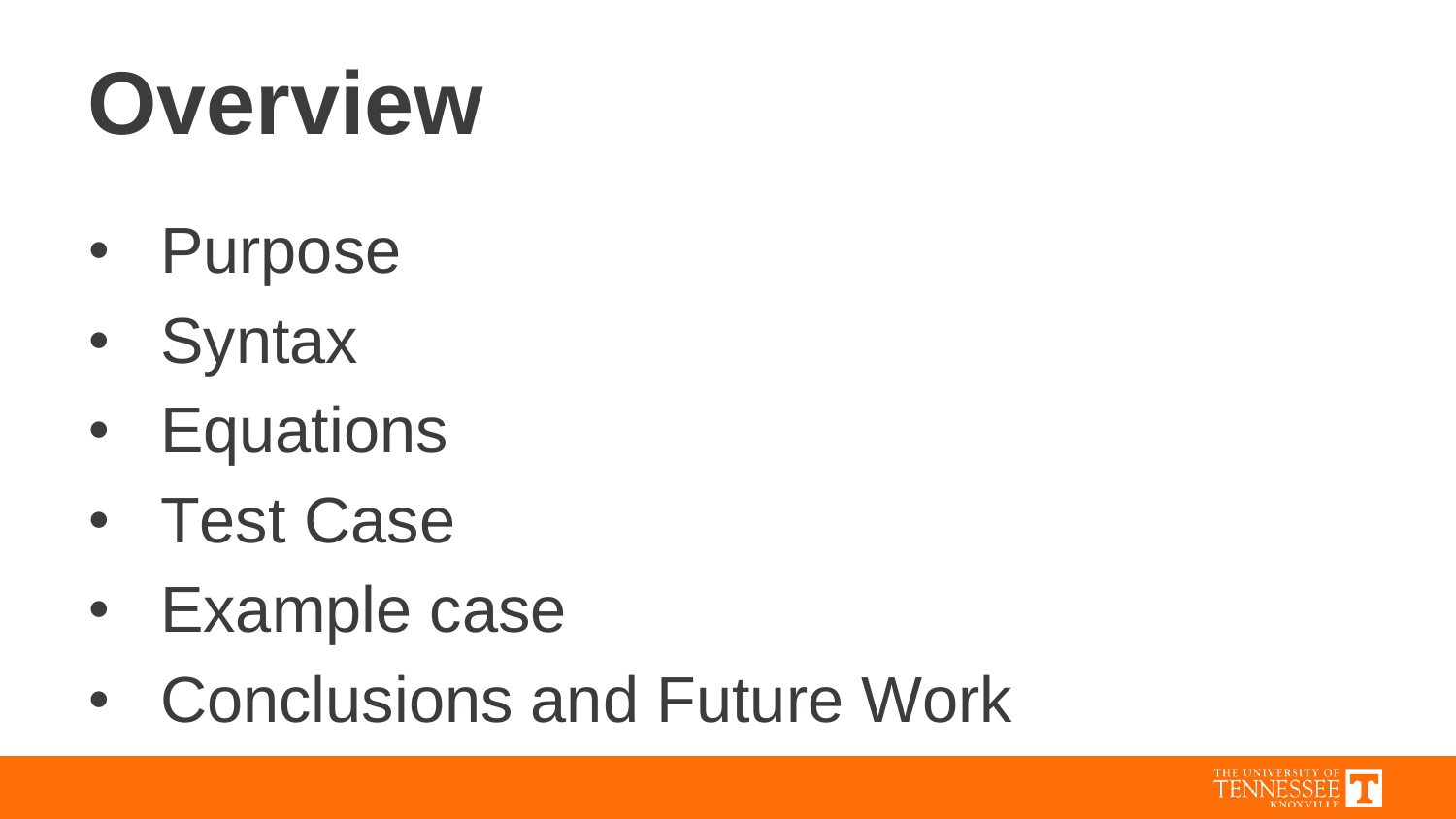### **Overview**

- Purpose
- Syntax
- Equations
- Test Case
- Example case
- Conclusions and Future Work

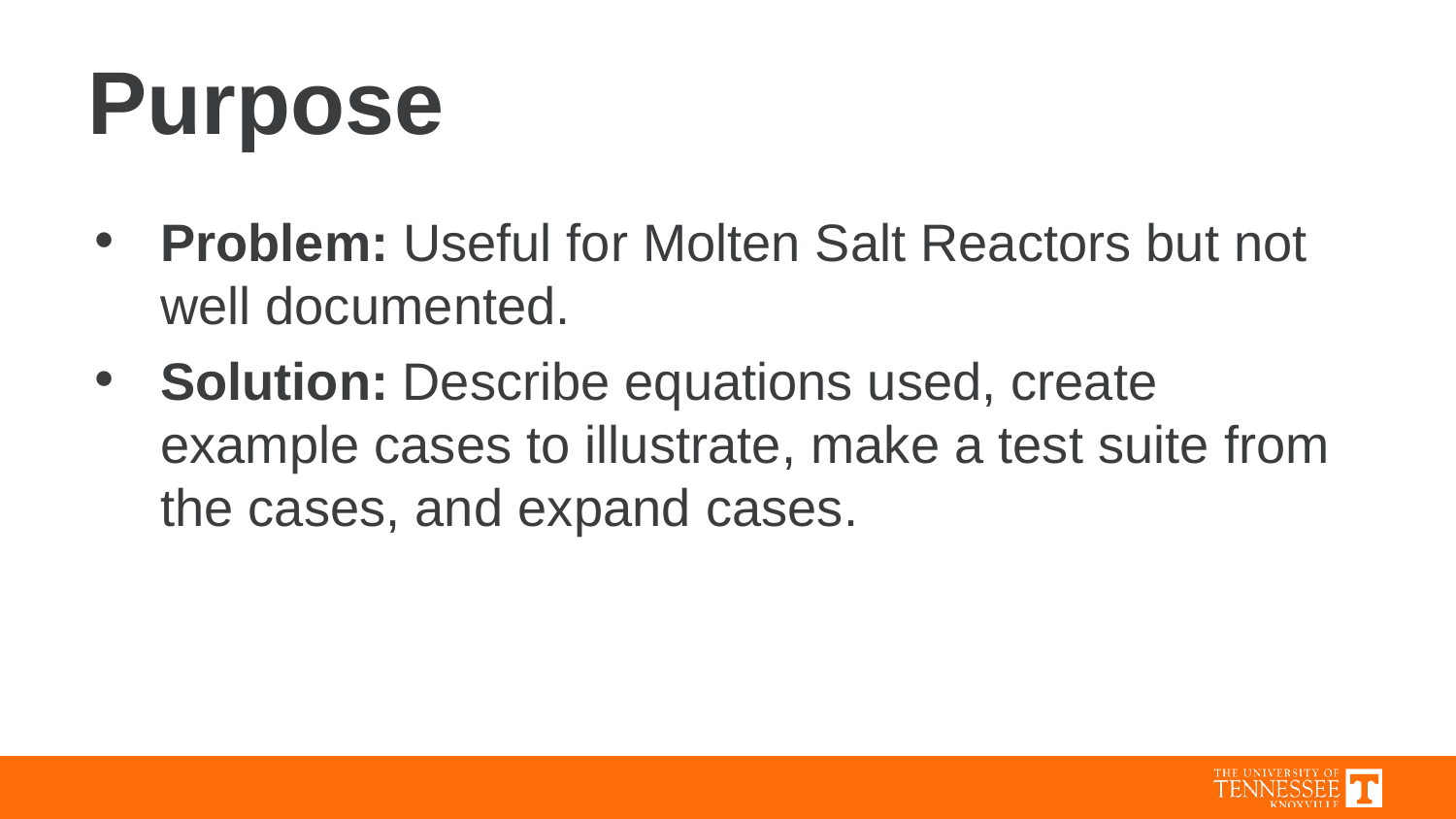### **Purpose**

- **Problem:** Useful for Molten Salt Reactors but not well documented.
- **Solution:** Describe equations used, create example cases to illustrate, make a test suite from the cases, and expand cases.

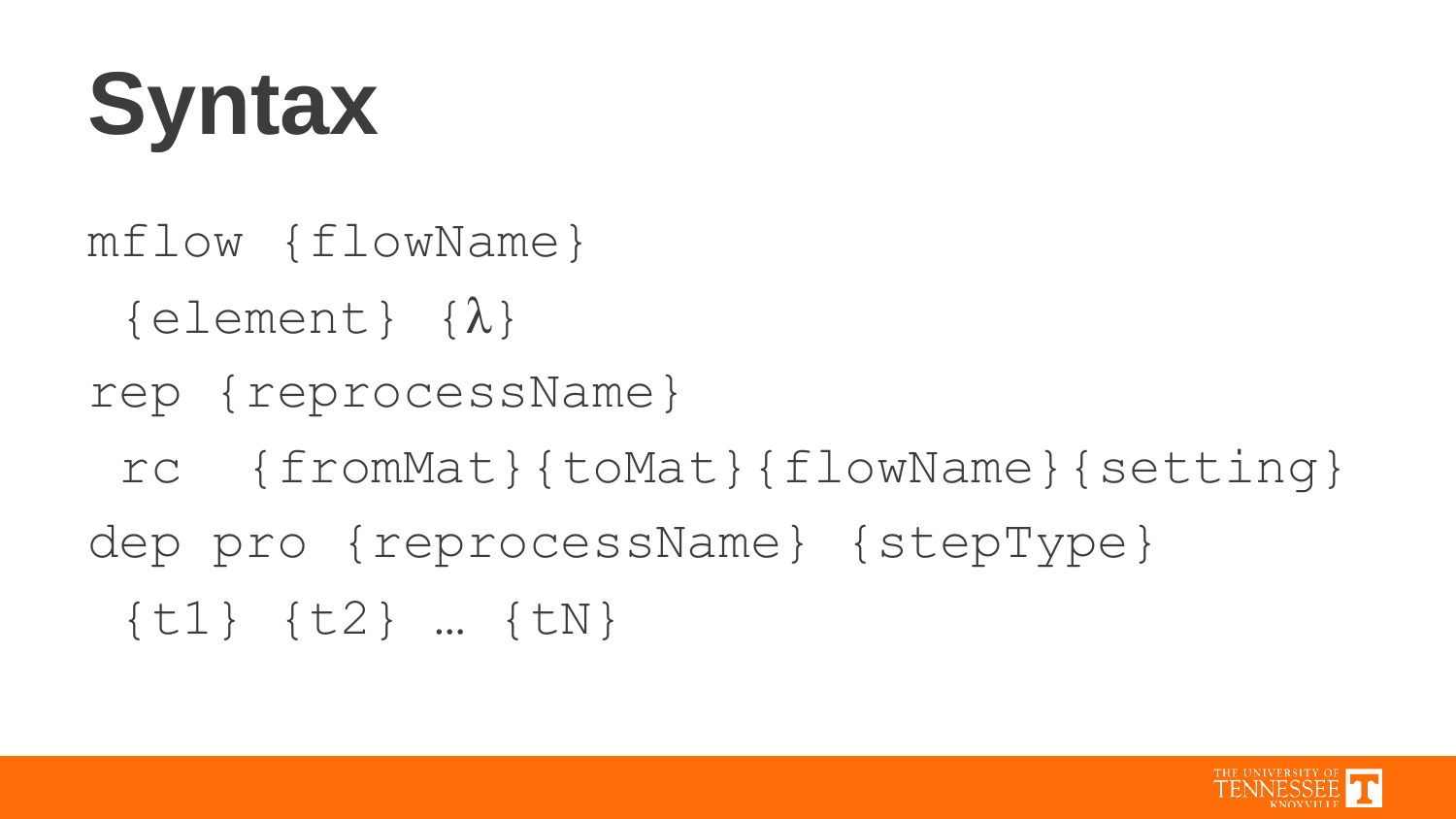

### {t1} {t2} … {tN}

- dep pro {reprocessName} {stepType}
- rc {fromMat}{toMat}{flowName}{setting}
- rep {reprocessName}
- mflow {flowName}  $\{element\}$   $\{\lambda\}$
- **Syntax**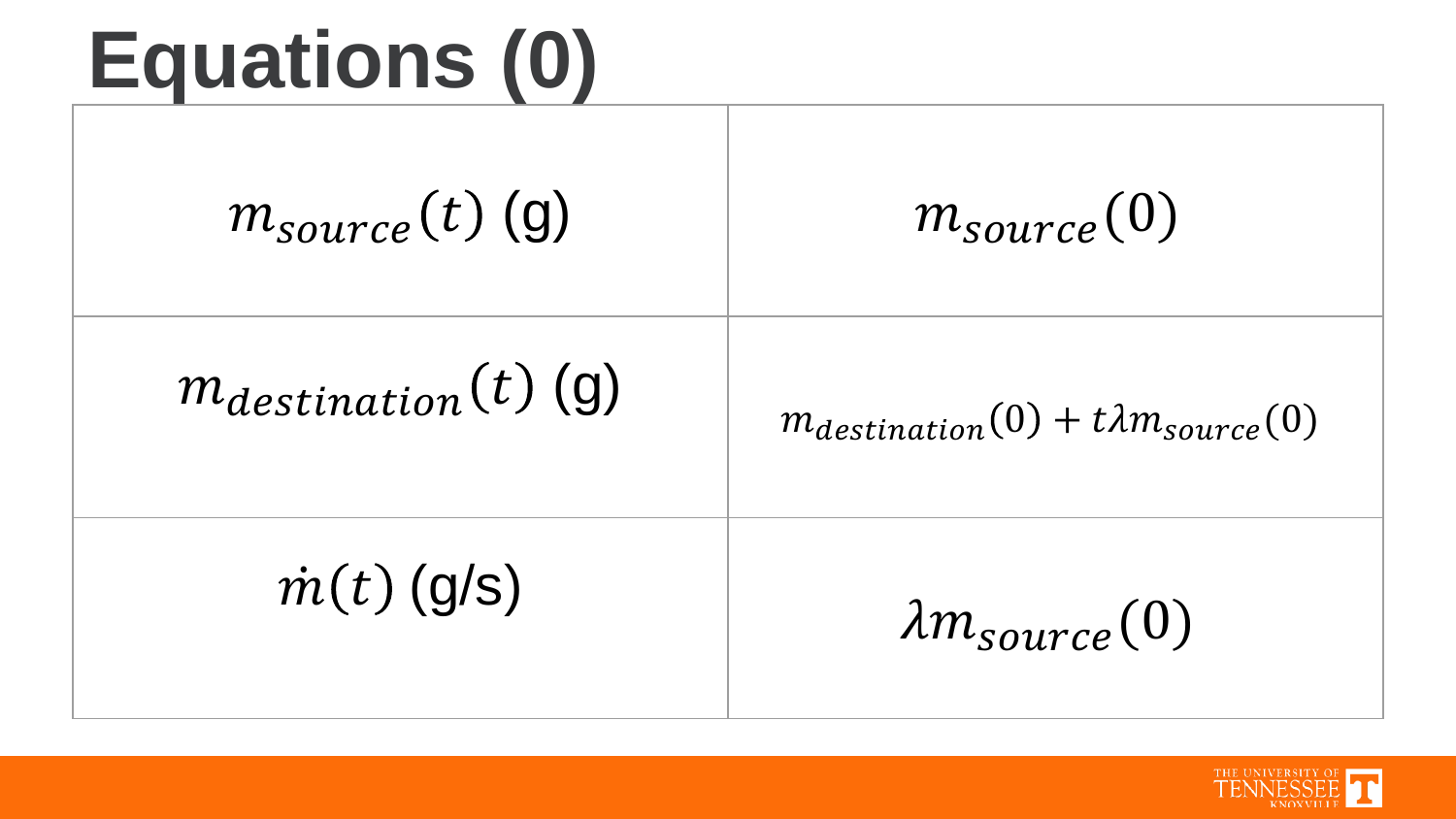### **Equations (0)**

| Lyuativiis (V)           |                                               |
|--------------------------|-----------------------------------------------|
| $m_{source}(t)$ (g)      | $m_{source}(0)$                               |
| $m_{destination}(t)$ (g) | $m_{destination}(0) + t\lambda m_{source}(0)$ |
| $\dot{m}(t)$ (g/s)       | $\lambda m_{source}(0)$                       |

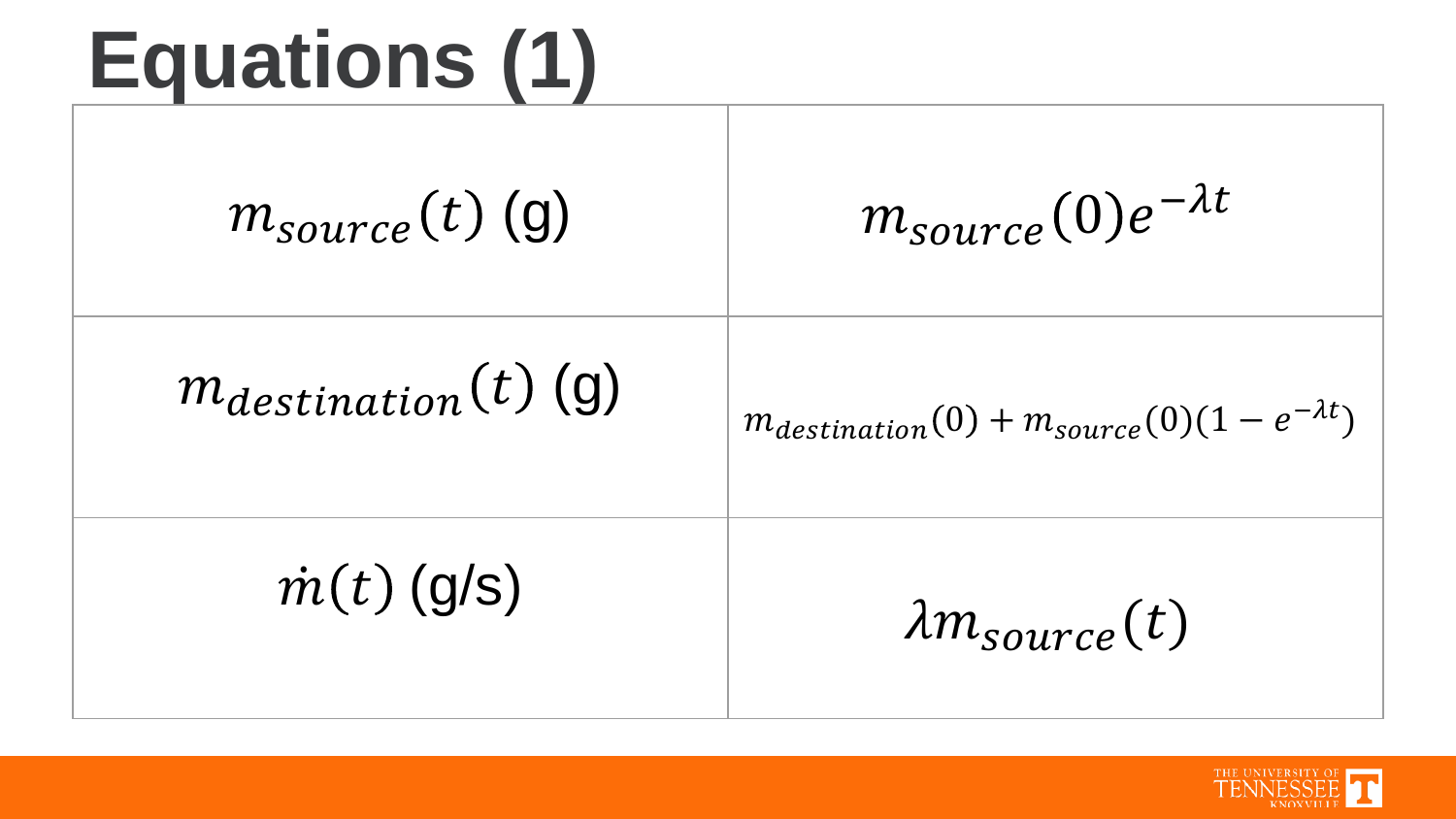### **Equations (1)**

| $m_{source}(t)$ (g)      | $m_{source}(0)e^{-\lambda t}$                            |
|--------------------------|----------------------------------------------------------|
| $m_{destination}(t)$ (g) | $m_{destination}(0) + m_{source}(0)(1 - e^{-\lambda t})$ |
| $\dot{m}(t)$ (g/s)       | $\lambda m_{source}(t)$                                  |

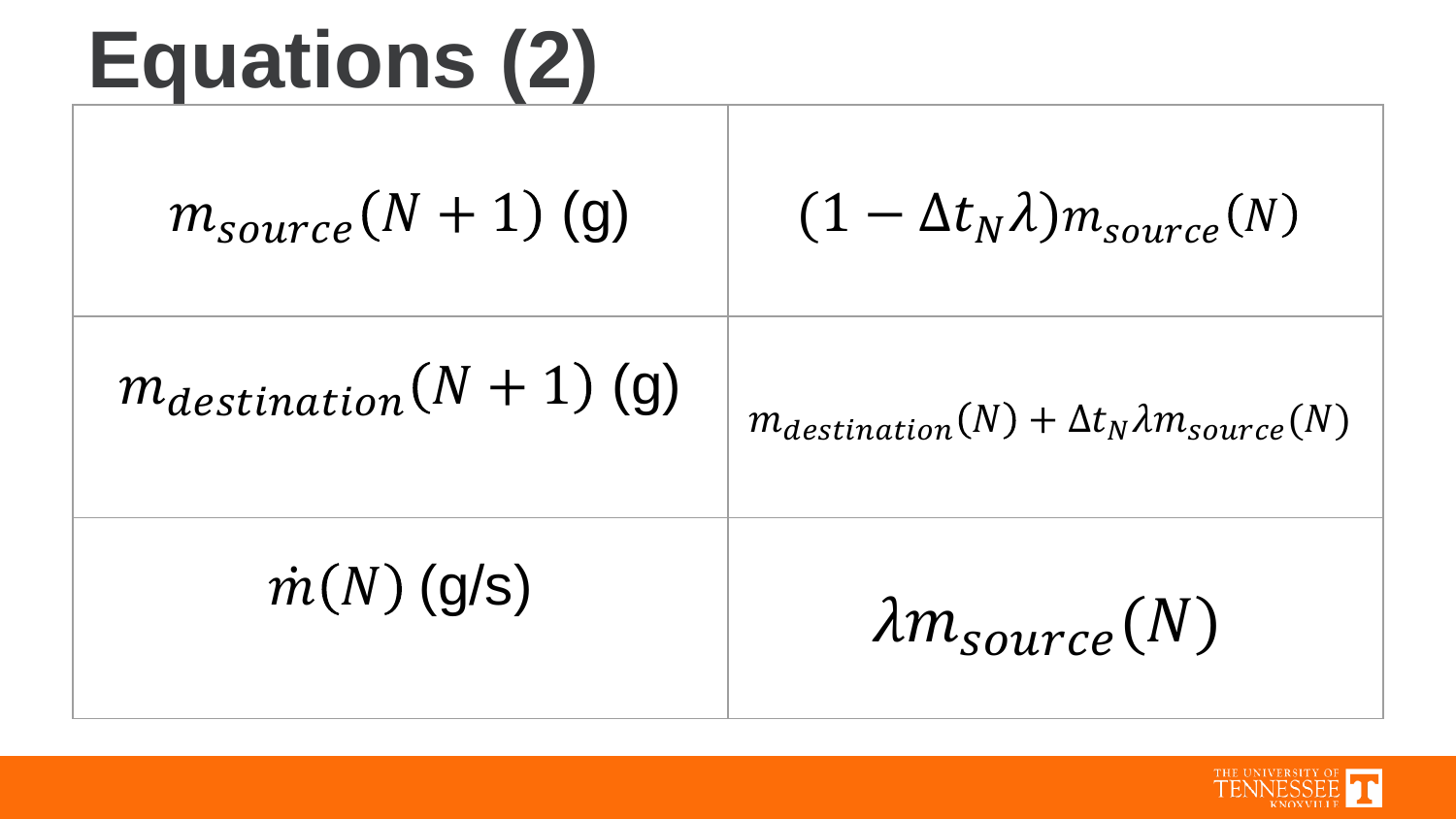| Equations (2)                |                                                         |
|------------------------------|---------------------------------------------------------|
| $m_{source}(N + 1)$ (g)      | $(1 - \Delta t_N \lambda)m_{source}(N)$                 |
| $m_{destination}(N + 1)$ (g) | $m_{destination}(N) + \Delta t_N \lambda m_{source}(N)$ |
| $\dot{m}(N)$ (g/s)           | $\lambda m_{source}(N)$                                 |

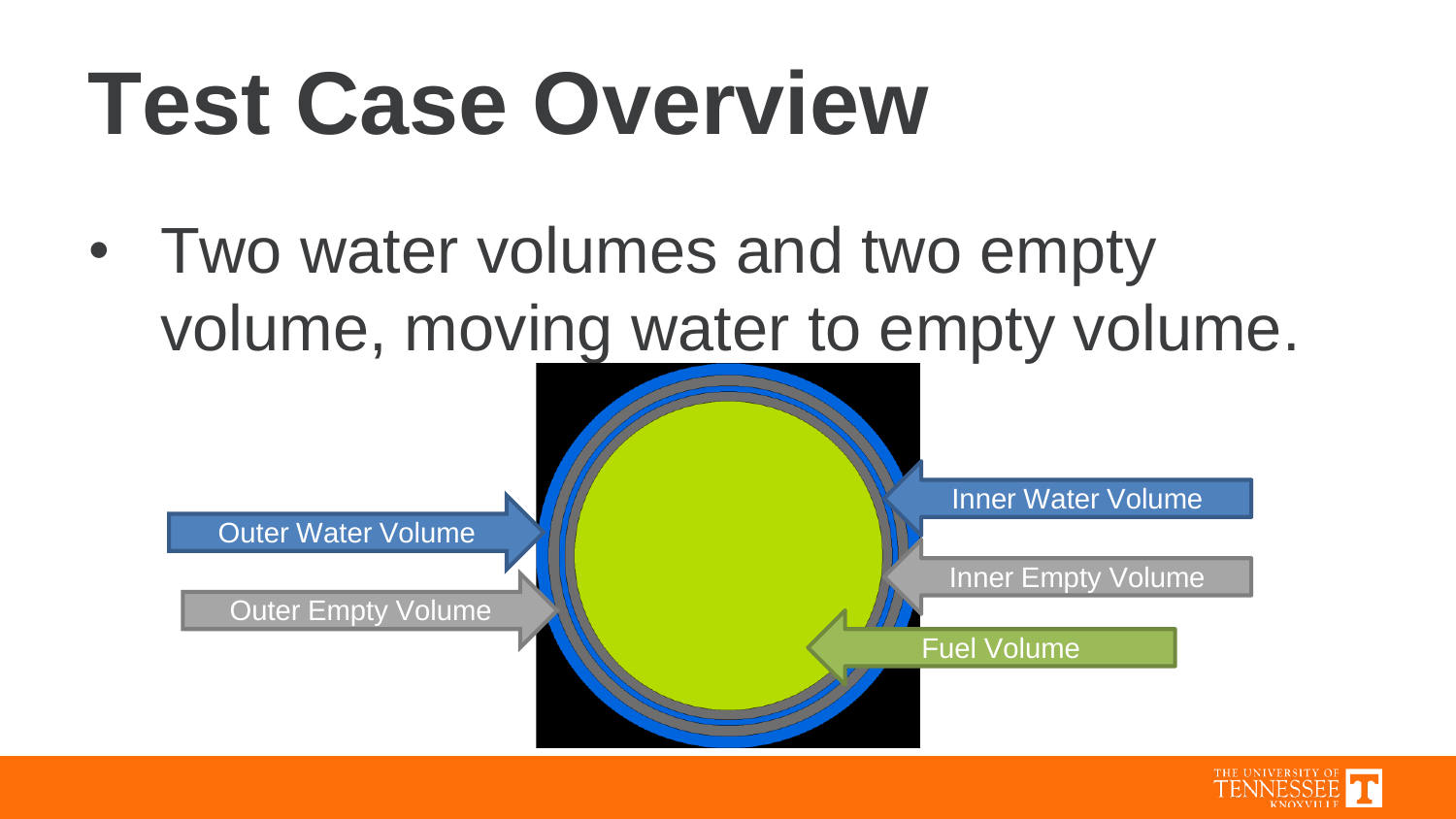### **Test Case Overview**

• Two water volumes and two empty volume, moving water to empty volume.



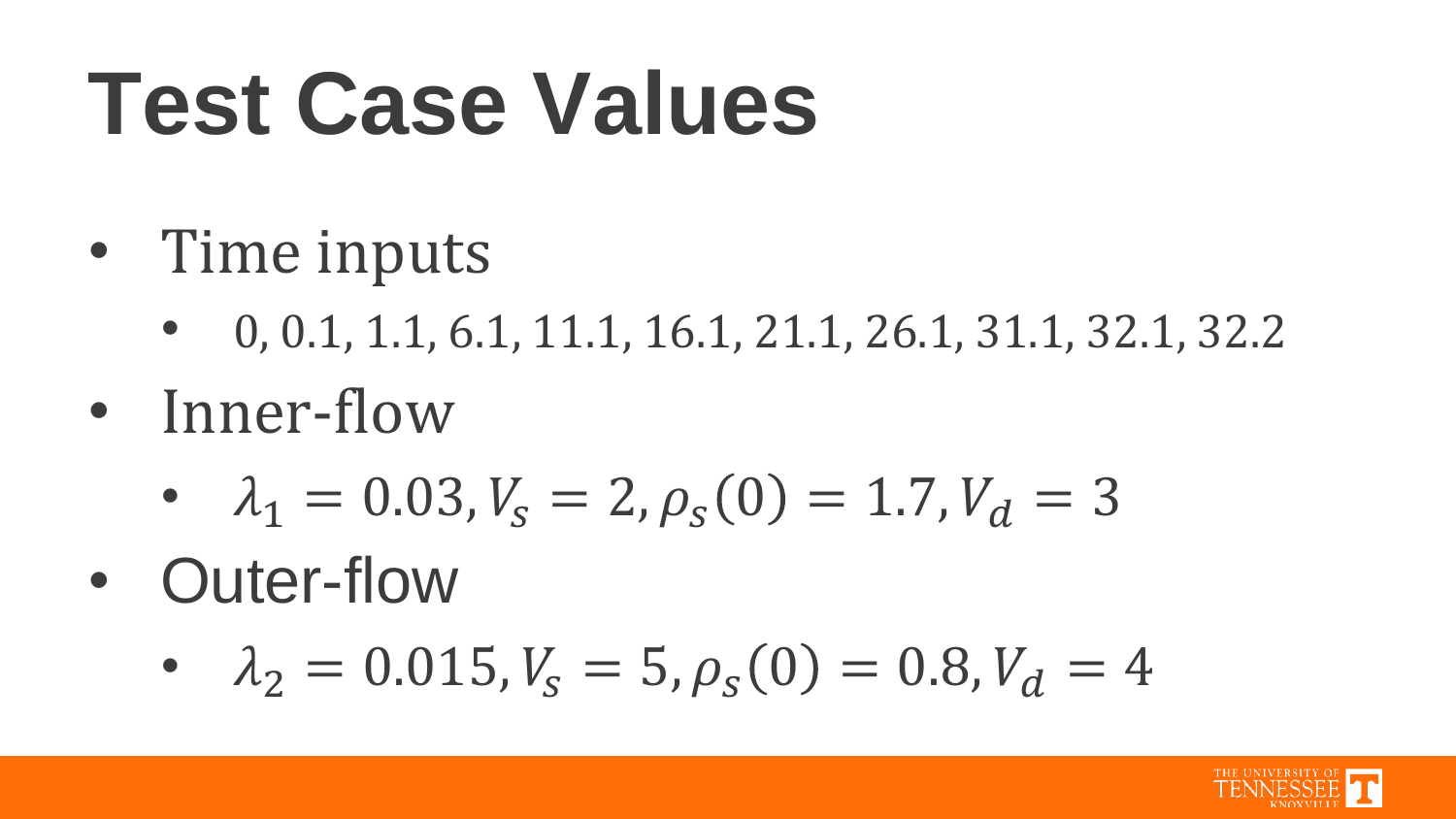### **Test Case Values**

- Time inputs
	- 0, 0.1, 1.1, 6.1, 11.1, 16.1, 21.1, 26.1, 31.1, 32.1, 32.2
- Inner-flow
	- $\lambda_1 = 0.03$ ,  $V_s = 2$ ,  $\rho_s(0) = 1.7$ ,  $V_d = 3$
- Outer-flow
	- $\lambda_2 = 0.015$ ,  $V_s = 5$ ,  $\rho_s(0) = 0.8$ ,  $V_d = 4$

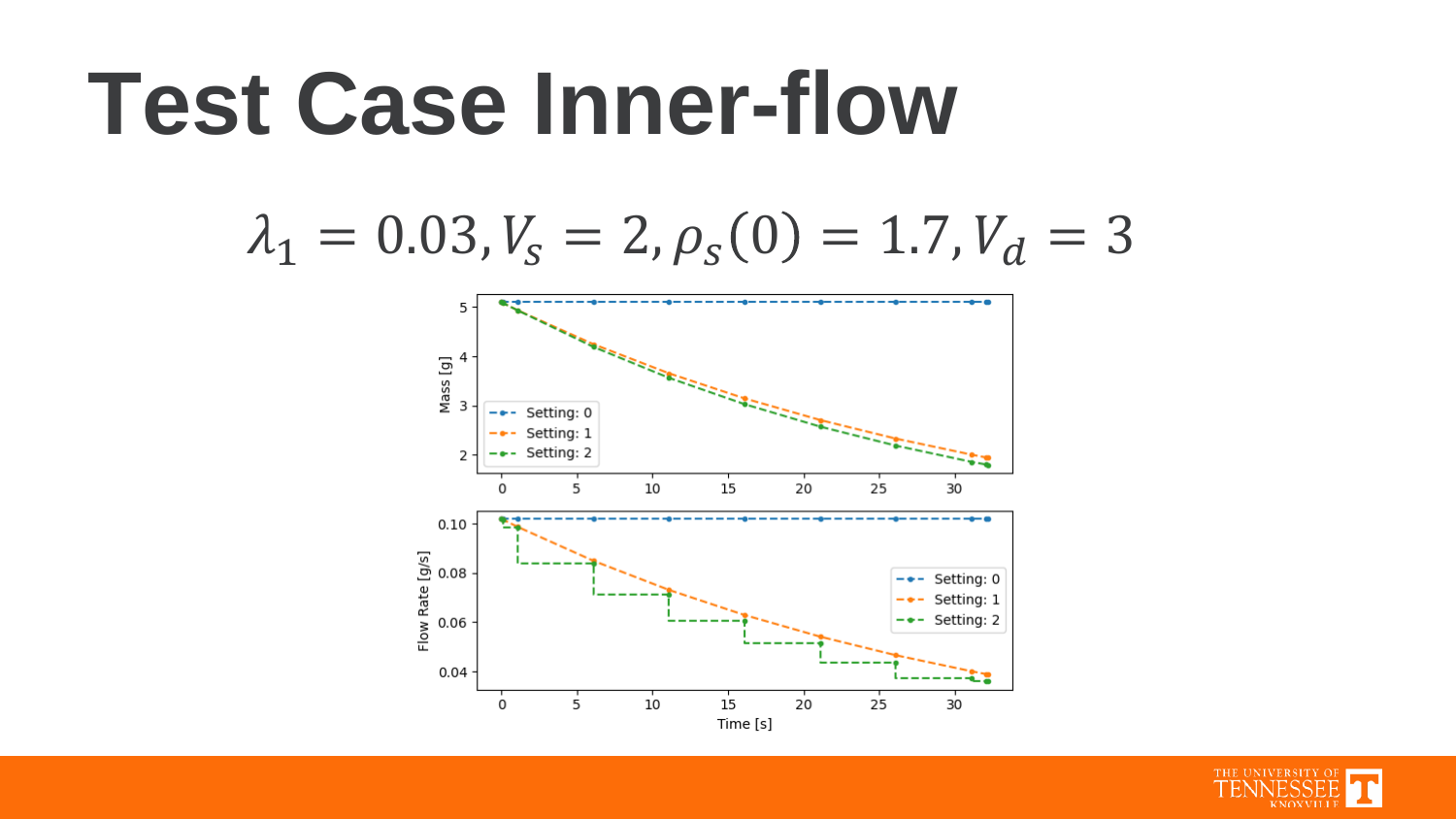#### **Test Case Inner-flow**

$$
\lambda_1 = 0.03, V_s = 2, \rho_s(0) = 1.7, V_d = 3
$$



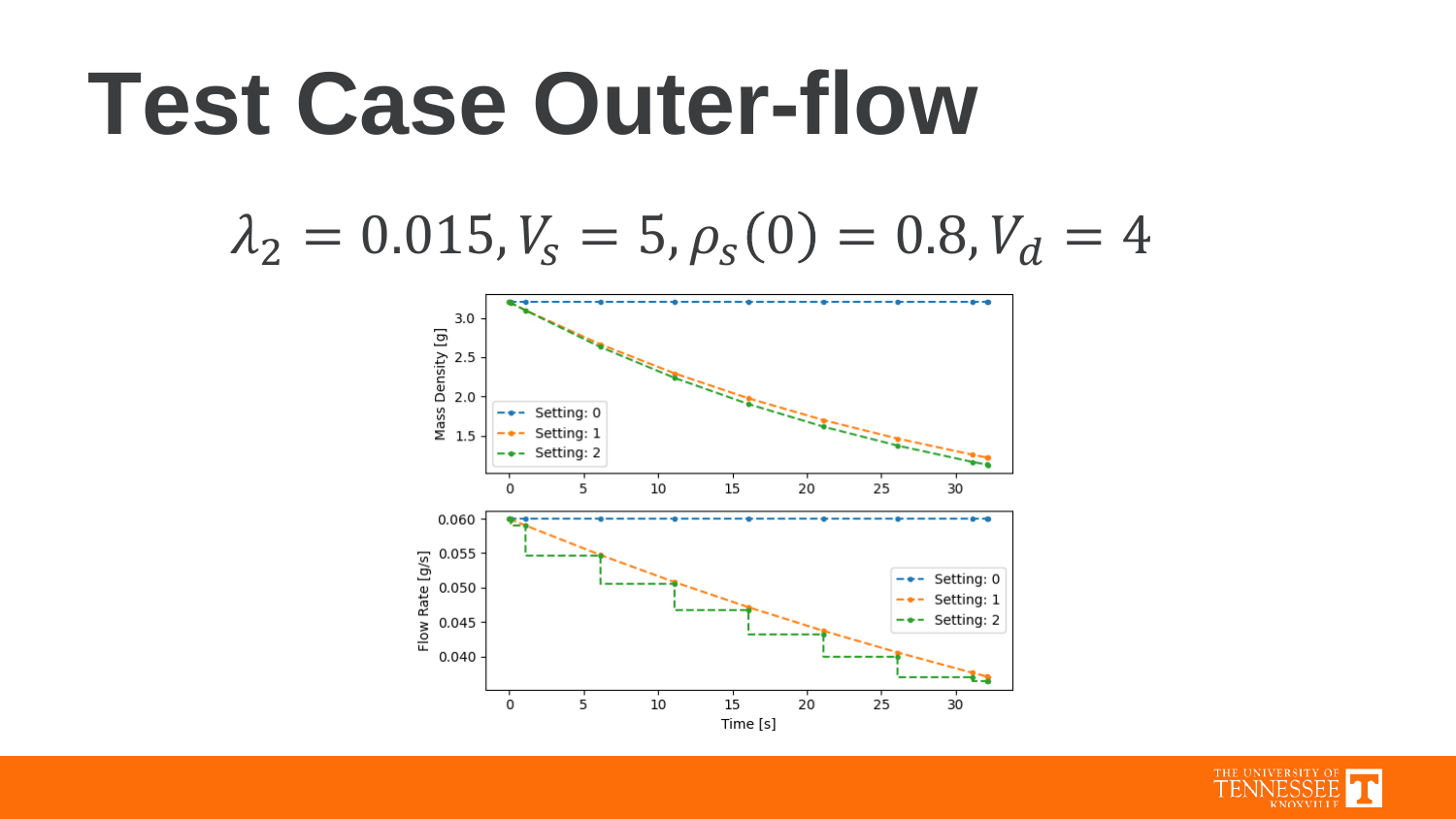### **Test Case Outer-flow**

#### $\lambda_2 = 0.015$ ,  $V_s = 5$ ,  $\rho_s(0) = 0.8$ ,  $V_d = 4$



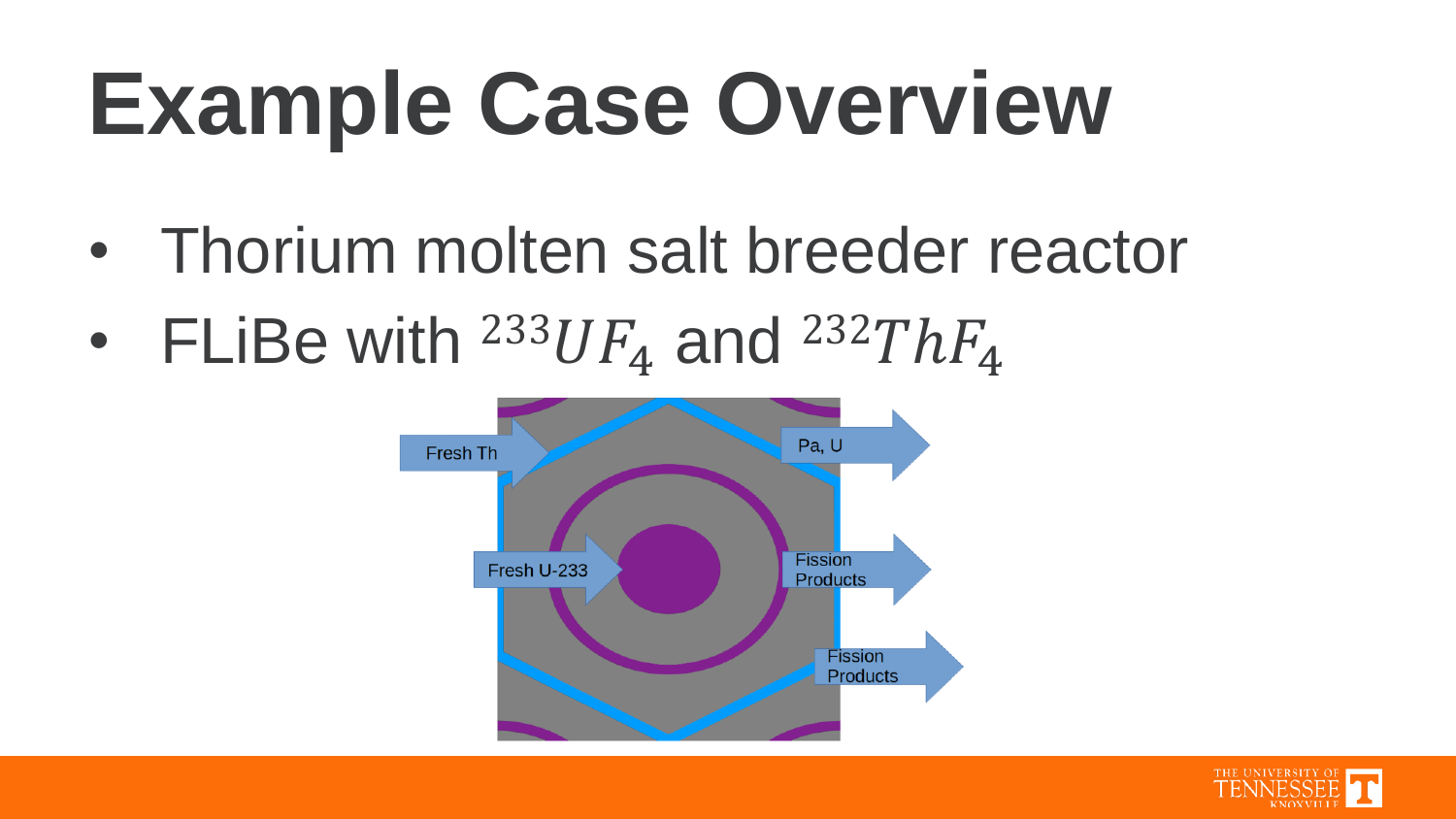## **Example Case Overview**

- Thorium molten salt breeder reactor
- FLiBe with  $^{233}UF_4$  and  $^{232}ThF_4$



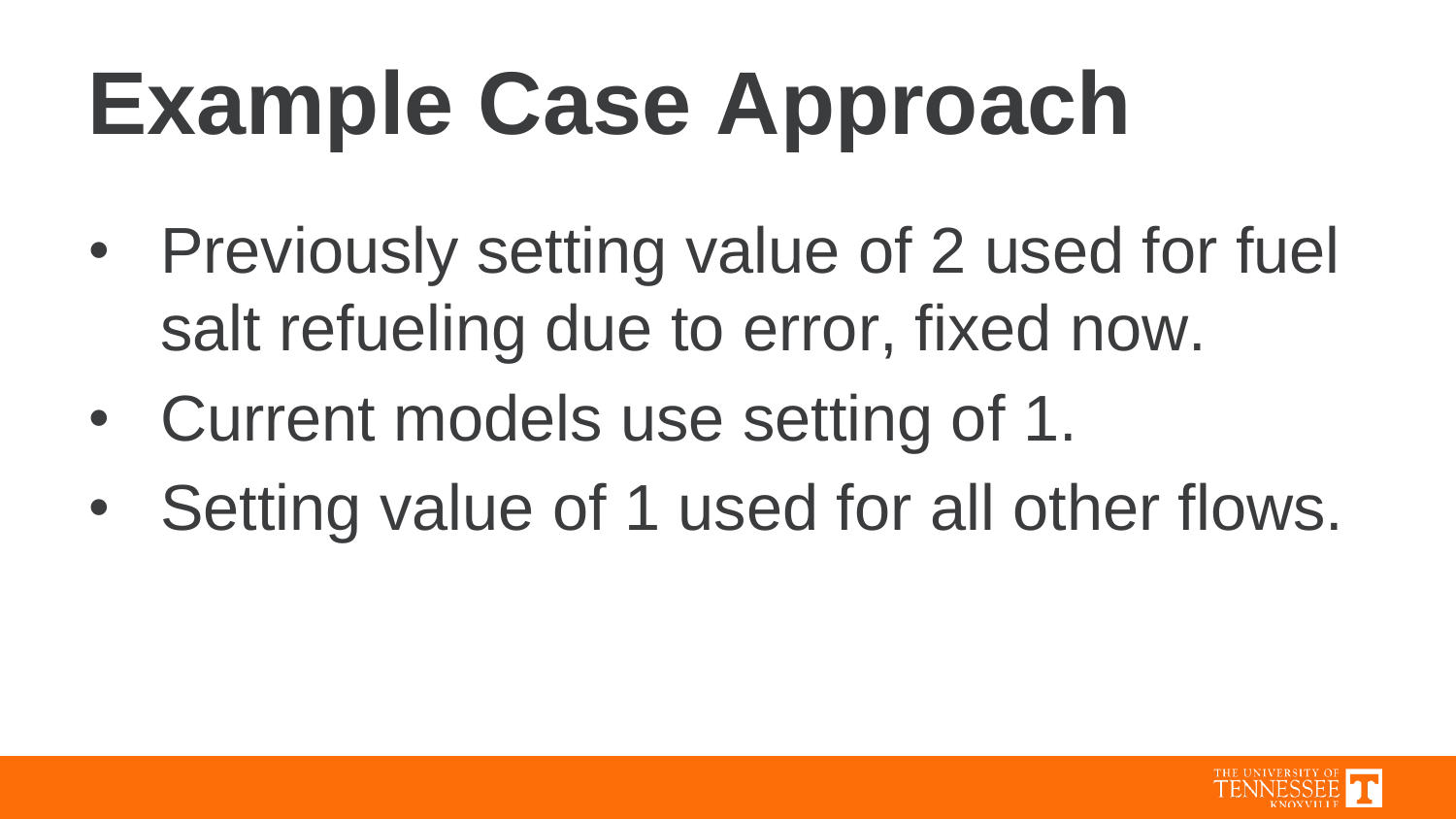# **Example Case Approach**

- Previously setting value of 2 used for fuel salt refueling due to error, fixed now.
- Current models use setting of 1.
- Setting value of 1 used for all other flows.

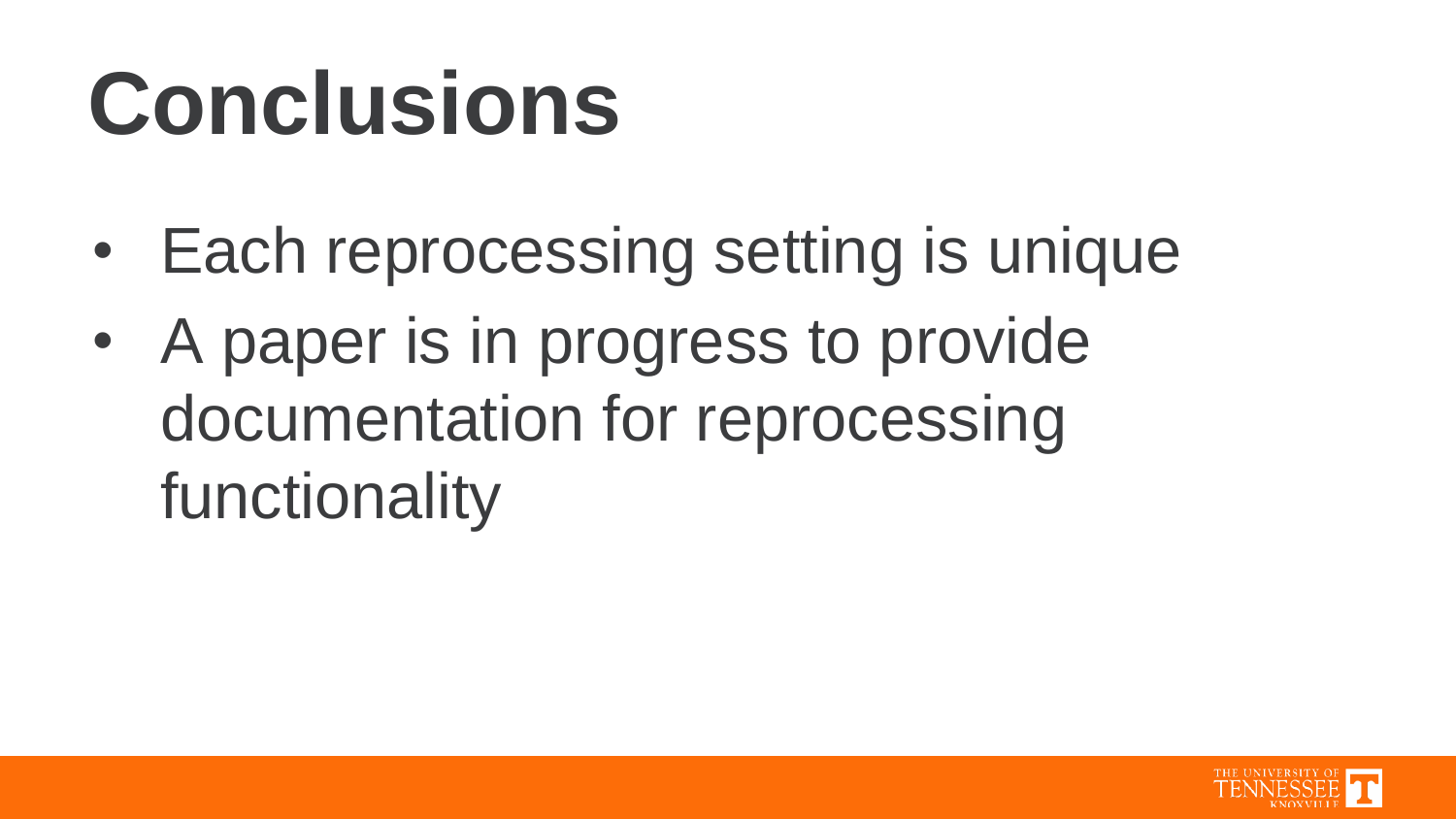### **Conclusions**

- Each reprocessing setting is unique
- A paper is in progress to provide documentation for reprocessing functionality

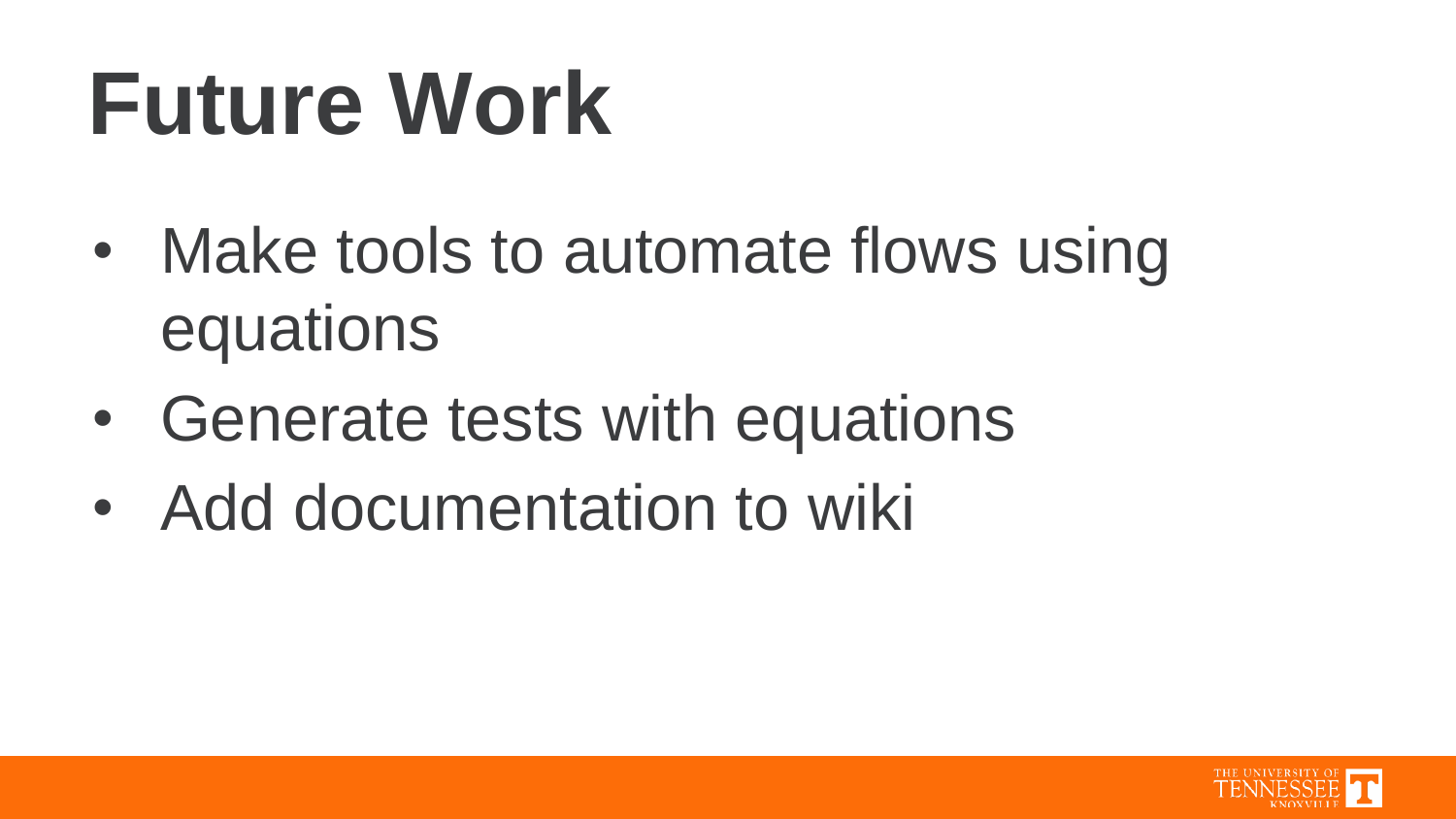### **Future Work**

- Make tools to automate flows using equations
- Generate tests with equations
- Add documentation to wiki